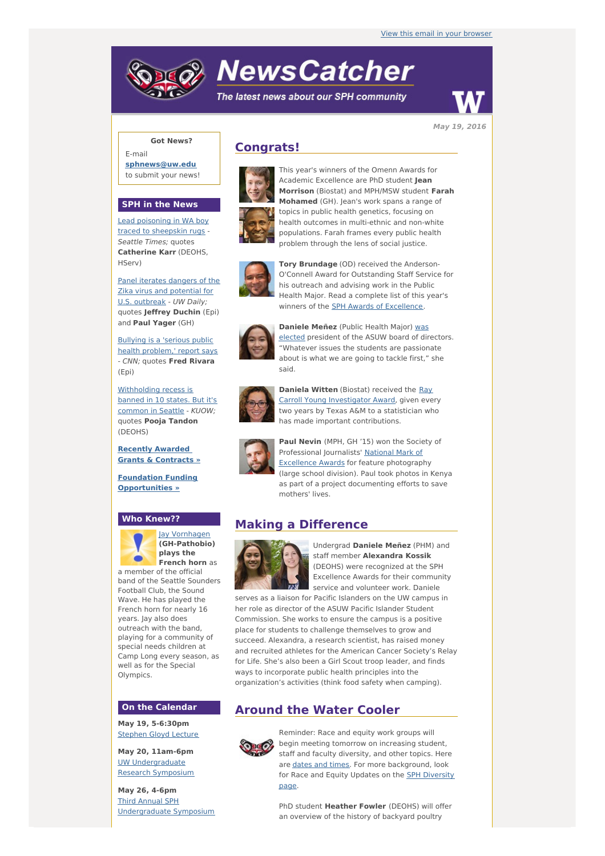# **NewsCatcher**

The latest news about our SPH community



**May 19, 2016**

## **Got News?**

E-mail **[sphnews@uw.edu](mailto:sphnews@uw.edu)** to submit your news!

### **SPH in the News**

Lead [poisoning](http://engage.washington.edu/site/R?i=_wPBU95IZ0X59gXxaiztWw) in WA boy traced to sheepskin rugs - Seattle Times; quotes **Catherine Karr** (DEOHS, HServ)

Panel iterates dangers of the Zika virus and [potential](http://engage.washington.edu/site/R?i=ekYstF5bNenjF2jANecUJQ) for U.S. outbreak - UW Daily; quotes **Jeffrey Duchin** (Epi) and **Paul Yager** (GH)

Bullying is a 'serious public health [problem,'](http://engage.washington.edu/site/R?i=aXZPjFzULwfrGagMsxNSCQ) report says - CNN; quotes **Fred Rivara** (Epi)

[Withholding](http://engage.washington.edu/site/R?i=JutxEwZXWrkdr1VDONj8MQ) recess is banned in 10 states. But it's common in Seattle - KUOW; quotes **Pooja Tandon** (DEOHS)

**Recently Awarded Grants & [Contracts](http://engage.washington.edu/site/R?i=nzEa2dQ5PzBC_g4h8zP25Q) »**

**Foundation Funding [Opportunities](http://engage.washington.edu/site/R?i=Jy-10E_uOobo-vb1KddlPA) »**

## **Who Knew??**



Jay [Vornhagen](http://engage.washington.edu/site/R?i=ErGl2sagaD_41_XHnqD9xg) **(GH-Pathobio) plays the French horn** as a member of the official

band of the Seattle Sounders Football Club, the Sound Wave. He has played the French horn for nearly 16 years. Jay also does outreach with the band, playing for a community of special needs children at Camp Long every season, as well as for the Special Olympics.

#### **On the Calendar**

**May 19, 5-6:30pm** [Stephen](http://engage.washington.edu/site/R?i=zCmV0Qsg-HIB7JvNO_G7AQ) Gloyd Lecture

**May 20, 11am-6pm** UW [Undergraduate](http://engage.washington.edu/site/R?i=J1GCPwMsbh1WWw7L3yUevA) Research Symposium

**May 26, 4-6pm** Third Annual SPH [Undergraduate](http://engage.washington.edu/site/R?i=_nWpZdy64MfB74mS_bYz9Q) Symposium

## **Congrats!**



This year's winners of the Omenn Awards for Academic Excellence are PhD student **Jean Morrison** (Biostat) and MPH/MSW student **Farah Mohamed** (GH). Jean's work spans a range of topics in public health genetics, focusing on health outcomes in multi-ethnic and non-white populations. Farah frames every public health problem through the lens of social justice.



**Tory Brundage** (OD) received the Anderson-O'Connell Award for Outstanding Staff Service for his outreach and advising work in the Public Health Major. Read a complete list of this year's winners of the **SPH Awards of [Excellence](http://engage.washington.edu/site/R?i=0gD_AqDT99Ri9ClHwAU5dQ)**.



**[Daniele](http://engage.washington.edu/site/R?i=kndKaMy-kjv8vuqYqqgWpA) Meñez** (Public Health Major) was elected president of the ASUW board of directors. "Whatever issues the students are passionate about is what we are going to tackle first," she said.



**Daniela Witten** (Biostat) received the Ray Carroll Young [Investigator](http://engage.washington.edu/site/R?i=Q9AEQ9-9bBFnDGkD5Hp-Ig) Award, given every two years by Texas A&M to a statistician who has made important contributions.



**Paul Nevin** (MPH, GH '15) won the Society of [Professional](http://engage.washington.edu/site/R?i=JCDoJZ0Wdv4DXZaBMvHsEA) Journalists' National Mark of Excellence Awards for feature photography (large school division). Paul took photos in Kenya as part of a project documenting efforts to save mothers' lives.

## **Making a Difference**



Undergrad **Daniele Meñez** (PHM) and staff member **Alexandra Kossik** (DEOHS) were recognized at the SPH Excellence Awards for their community service and volunteer work. Daniele

serves as a liaison for Pacific Islanders on the UW campus in her role as director of the ASUW Pacific Islander Student Commission. She works to ensure the campus is a positive place for students to challenge themselves to grow and succeed. Alexandra, a research scientist, has raised money and recruited athletes for the American Cancer Society's Relay for Life. She's also been a Girl Scout troop leader, and finds ways to incorporate public health principles into the organization's activities (think food safety when camping).

## **Around the Water Cooler**



Reminder: Race and equity work groups will begin meeting tomorrow on increasing student, staff and faculty diversity, and other topics. Here are [dates](http://engage.washington.edu/site/R?i=ALEQSXZRkTeU4JFVXI--_w) and times. For more background, look for Race and Equity Updates on the **SPH [Diversity](http://engage.washington.edu/site/R?i=8I2RazhupKuGRBdZpTLMKg)** page.

PhD student **Heather Fowler** (DEOHS) will offer an overview of the history of backyard poultry